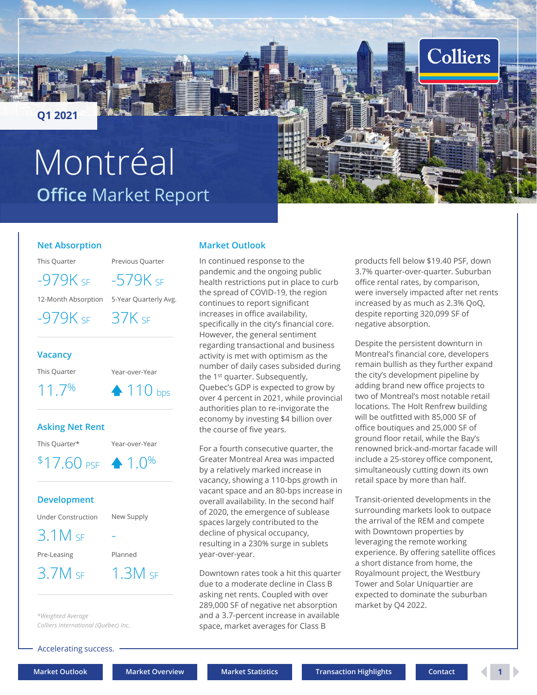# **Office** Market Report Montréal



### **Net Absorption**

This Quarter Previous Quarter

<span id="page-0-0"></span>**Q1 2021**

 $-979K$  SF  $-579K$  SF

12-Month Absorption 5-Year Quarterly Avg.

-979K SF 37K SF

### **Vacancy**

This Quarter Year-over-Year

11.7% 110 bps

### **Asking Net Rent**



### **Development**

| Under Construction | New Supply |  |  |  |  |
|--------------------|------------|--|--|--|--|
| $3.1M$ SF          |            |  |  |  |  |
| Pre-Leasing        | Planned    |  |  |  |  |
| $3.7M$ sf          | $1.3M$ sf  |  |  |  |  |

*\*Weighted Average Colliers International (Québec) Inc.*

Accelerating success.

### **Market Outlook**

In continued response to the pandemic and the ongoing public health restrictions put in place to curb the spread of COVID-19, the region continues to report significant increases in office availability, specifically in the city's financial core. However, the general sentiment regarding transactional and business activity is met with optimism as the number of daily cases subsided during the 1<sup>st</sup> quarter. Subsequently, Quebec's GDP is expected to grow by over 4 percent in 2021, while provincial authorities plan to re-invigorate the economy by investing \$4 billion over the course of five years.

For a fourth consecutive quarter, the Greater Montreal Area was impacted by a relatively marked increase in vacancy, showing a 110-bps growth in vacant space and an 80-bps increase in overall availability. In the second half of 2020, the emergence of sublease spaces largely contributed to the decline of physical occupancy, resulting in a 230% surge in sublets year-over-year.

Downtown rates took a hit this quarter due to a moderate decline in Class B asking net rents. Coupled with over 289,000 SF of negative net absorption and a 3.7-percent increase in available space, market averages for Class B

products fell below \$19.40 PSF, down 3.7% quarter-over-quarter. Suburban office rental rates, by comparison, were inversely impacted after net rents increased by as much as 2.3% QoQ, despite reporting 320,099 SF of negative absorption.

Despite the persistent downturn in Montreal's financial core, developers remain bullish as they further expand the city's development pipeline by adding brand new office projects to two of Montreal's most notable retail locations. The Holt Renfrew building will be outfitted with 85,000 SF of office boutiques and 25,000 SF of ground floor retail, while the Bay's renowned brick-and-mortar facade will include a 25-storey office component, simultaneously cutting down its own retail space by more than half.

Transit-oriented developments in the surrounding markets look to outpace the arrival of the REM and compete with Downtown properties by leveraging the remote working experience. By offering satellite offices a short distance from home, the Royalmount project, the Westbury Tower and Solar Uniquartier are expected to dominate the suburban market by Q4 2022.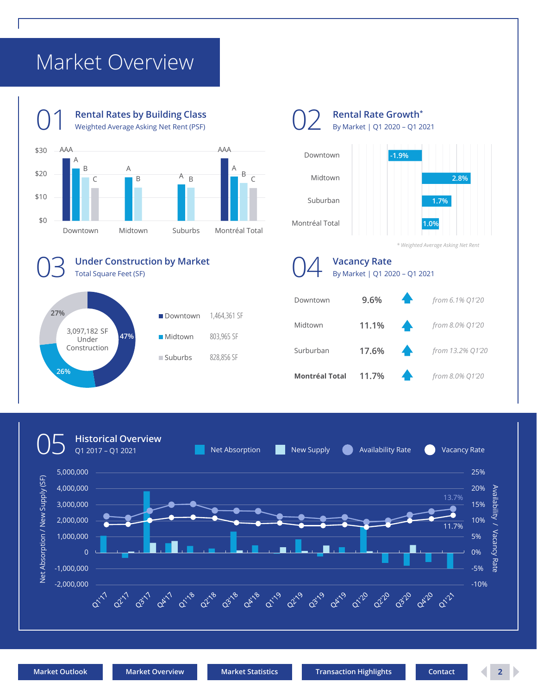## <span id="page-1-0"></span>Market Overview

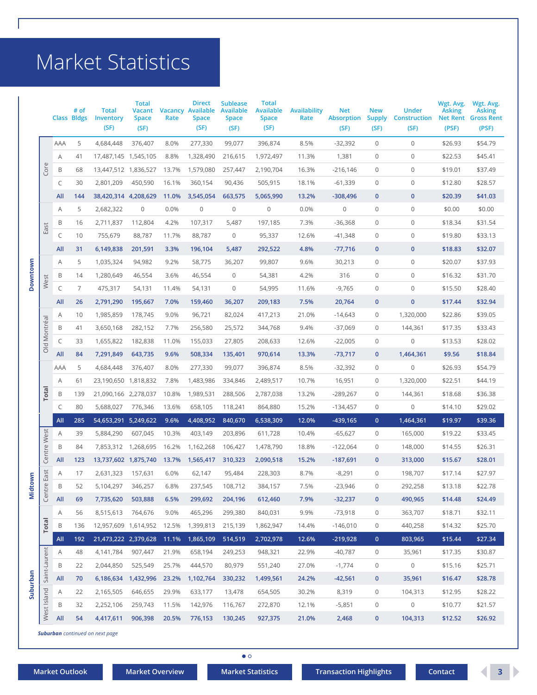## <span id="page-2-0"></span>Market Statistics

|                 |               |             | # of<br><b>Class Bldgs</b> | <b>Total</b><br>Inventory | <b>Total</b><br>Vacant<br><b>Space</b> | Rate  | <b>Direct</b><br><b>Vacancy Available</b><br><b>Space</b> | <b>Sublease</b><br><b>Available</b><br>Space | <b>Total</b><br><b>Available</b><br><b>Space</b> | <b>Availability</b><br>Rate | <b>Net</b><br><b>Absorption</b> | <b>New</b><br><b>Supply</b> | <b>Under</b><br><b>Construction</b> | Wgt. Avg.<br><b>Asking</b> | Wgt. Avg.<br><b>Asking</b><br><b>Net Rent Gross Rent</b> |
|-----------------|---------------|-------------|----------------------------|---------------------------|----------------------------------------|-------|-----------------------------------------------------------|----------------------------------------------|--------------------------------------------------|-----------------------------|---------------------------------|-----------------------------|-------------------------------------|----------------------------|----------------------------------------------------------|
|                 |               |             |                            | (SF)                      | (SF)                                   |       | (SF)                                                      | (SF)                                         | (SF)                                             |                             | (SF)                            | (SF)                        | (SF)                                | (PSF)                      | (PSF)                                                    |
|                 |               | AAA         | 5                          | 4,684,448                 | 376,407                                | 8.0%  | 277,330                                                   | 99,077                                       | 396,874                                          | 8.5%                        | $-32,392$                       | $\mathbf 0$                 | $\mathbf 0$                         | \$26.93                    | \$54.79                                                  |
|                 |               | Α           | 41                         | 17,487,145 1,545,105      |                                        | 8.8%  | 1,328,490                                                 | 216,615                                      | 1,972,497                                        | 11.3%                       | 1,381                           | $\mathbf 0$                 | 0                                   | \$22.53                    | \$45.41                                                  |
|                 | Core          | B           | 68                         | 13,447,512 1,836,527      |                                        | 13.7% | 1,579,080                                                 | 257,447                                      | 2,190,704                                        | 16.3%                       | $-216,146$                      | 0                           | 0                                   | \$19.01                    | \$37.49                                                  |
|                 |               | C           | 30                         | 2,801,209                 | 450,590                                | 16.1% | 360,154                                                   | 90,436                                       | 505,915                                          | 18.1%                       | $-61,339$                       | $\mathbf 0$                 | 0                                   | \$12.80                    | \$28.57                                                  |
|                 |               | All         | 144                        | 38,420,314 4,208,629      |                                        | 11.0% | 3,545,054                                                 | 663,575                                      | 5,065,990                                        | 13.2%                       | $-308,496$                      | $\mathbf 0$                 | $\mathbf 0$                         | \$20.39                    | \$41.03                                                  |
|                 |               | Α           | 5                          | 2,682,322                 | 0                                      | 0.0%  | 0                                                         | 0                                            | $\mathsf{O}\xspace$                              | 0.0%                        | 0                               | $\mathbf 0$                 | 0                                   | \$0.00                     | \$0.00                                                   |
|                 | East          | B           | 16                         | 2,711,837                 | 112,804                                | 4.2%  | 107,317                                                   | 5,487                                        | 197,185                                          | 7.3%                        | $-36,368$                       | 0                           | 0                                   | \$18.34                    | \$31.54                                                  |
|                 |               | C           | 10                         | 755,679                   | 88,787                                 | 11.7% | 88,787                                                    | $\mathbf 0$                                  | 95,337                                           | 12.6%                       | $-41,348$                       | $\mathbf 0$                 | 0                                   | \$19.80                    | \$33.13                                                  |
|                 |               | All         | 31                         | 6,149,838                 | 201,591                                | 3.3%  | 196,104                                                   | 5,487                                        | 292,522                                          | 4.8%                        | $-77,716$                       | $\mathbf 0$                 | $\mathbf 0$                         | \$18.83                    | \$32.07                                                  |
|                 |               | Α           | 5                          | 1,035,324                 | 94,982                                 | 9.2%  | 58,775                                                    | 36,207                                       | 99,807                                           | 9.6%                        | 30,213                          | $\mathbf 0$                 | 0                                   | \$20.07                    | \$37.93                                                  |
| <b>Downtown</b> | West          | B           | 14                         | 1,280,649                 | 46,554                                 | 3.6%  | 46,554                                                    | $\mathbf 0$                                  | 54,381                                           | 4.2%                        | 316                             | $\mathbf 0$                 | $\mathsf{O}\xspace$                 | \$16.32                    | \$31.70                                                  |
|                 |               | $\mathsf C$ | 7                          | 475,317                   | 54,131                                 | 11.4% | 54,131                                                    | 0                                            | 54,995                                           | 11.6%                       | $-9,765$                        | $\mathbf 0$                 | $\mathsf{O}\xspace$                 | \$15.50                    | \$28.40                                                  |
|                 |               | All         | 26                         | 2,791,290                 | 195,667                                | 7.0%  | 159,460                                                   | 36,207                                       | 209,183                                          | 7.5%                        | 20,764                          | $\mathbf 0$                 | $\mathbf 0$                         | \$17.44                    | \$32.94                                                  |
|                 |               | Α           | 10                         | 1,985,859                 | 178,745                                | 9.0%  | 96,721                                                    | 82,024                                       | 417,213                                          | 21.0%                       | $-14,643$                       | 0                           | 1,320,000                           | \$22.86                    | \$39.05                                                  |
|                 |               | B           | 41                         | 3,650,168                 | 282,152                                | 7.7%  | 256,580                                                   | 25,572                                       | 344,768                                          | 9.4%                        | $-37,069$                       | 0                           | 144,361                             | \$17.35                    | \$33.43                                                  |
|                 | Old Montréal  | C           | 33                         | 1,655,822                 | 182,838                                | 11.0% | 155,033                                                   | 27,805                                       | 208,633                                          | 12.6%                       | $-22,005$                       | 0                           | 0                                   | \$13.53                    | \$28.02                                                  |
|                 |               | All         | 84                         | 7,291,849                 | 643,735                                | 9.6%  | 508,334                                                   | 135,401                                      | 970,614                                          | 13.3%                       | $-73,717$                       | $\mathbf 0$                 | 1,464,361                           | \$9.56                     | \$18.84                                                  |
|                 |               | <b>AAA</b>  | 5                          | 4,684,448                 | 376,407                                | 8.0%  | 277,330                                                   | 99,077                                       | 396,874                                          | 8.5%                        | $-32,392$                       | $\mathbf 0$                 | 0                                   | \$26.93                    | \$54.79                                                  |
|                 |               | Α           | 61                         | 23,190,650                | 1,818,832                              | 7.8%  | 1,483,986                                                 | 334,846                                      | 2,489,517                                        | 10.7%                       | 16,951                          | 0                           | 1,320,000                           | \$22.51                    | \$44.19                                                  |
|                 | Total         | B           | 139                        | 21,090,166 2,278,037      |                                        | 10.8% | 1,989,531                                                 | 288,506                                      | 2,787,038                                        | 13.2%                       | $-289,267$                      | 0                           | 144,361                             | \$18.68                    | \$36.38                                                  |
|                 |               | $\mathsf C$ | 80                         | 5,688,027                 | 776,346                                | 13.6% | 658,105                                                   | 118,241                                      | 864,880                                          | 15.2%                       | -134,457                        | $\mathbf 0$                 | $\mathsf{O}\xspace$                 | \$14.10                    | \$29.02                                                  |
|                 |               | All         | 285                        | 54,653,291 5,249,622      |                                        | 9.6%  | 4,408,952                                                 | 840,670                                      | 6,538,309                                        | 12.0%                       | $-439,165$                      | $\mathbf{0}$                | 1,464,361                           | \$19.97                    | \$39.36                                                  |
|                 |               | Α           | 39                         | 5,884,290                 | 607,045                                | 10.3% | 403,149                                                   | 203,896                                      | 611,728                                          | 10.4%                       | -65,627                         | 0                           | 165,000                             | \$19.22                    | \$33.45                                                  |
|                 | Centre West   | B           | 84                         | 7,853,312                 | 1,268,695                              | 16.2% | 1,162,268                                                 | 106,427                                      | 1,478,790                                        | 18.8%                       | $-122,064$                      | 0                           | 148,000                             | \$14.55                    | \$26.31                                                  |
|                 |               | All         | 123                        | 13,737,602 1,875,740      |                                        | 13.7% | 1,565,417                                                 | 310,323                                      | 2,090,518                                        | 15.2%                       | $-187,691$                      | $\mathbf 0$                 | 313,000                             | \$15.67                    | \$28.01                                                  |
|                 | East          | Α           | 17                         | 2,631,323                 | 157,631                                | 6.0%  | 62,147                                                    | 95,484                                       | 228,303                                          | 8.7%                        | $-8,291$                        | 0                           | 198,707                             | \$17.14                    | \$27.97                                                  |
| dtown           | Centre        | B           | 52                         | 5,104,297                 | 346,257                                | 6.8%  | 237,545                                                   | 108,712                                      | 384,157                                          | 7.5%                        | $-23,946$                       | $\mathbf 0$                 | 292,258                             | \$13.18                    | \$22.78                                                  |
| Ξ               |               | All         | 69                         | 7,735,620                 | 503,888                                | 6.5%  | 299,692                                                   | 204,196                                      | 612,460                                          | 7.9%                        | $-32,237$                       | $\mathbf 0$                 | 490,965                             | \$14.48                    | \$24.49                                                  |
|                 |               | Α           | 56                         | 8,515,613                 | 764,676                                | 9.0%  | 465,296                                                   | 299,380                                      | 840,031                                          | 9.9%                        | $-73,918$                       | 0                           | 363,707                             | \$18.71                    | \$32.11                                                  |
|                 | <b>Total</b>  | B           | 136                        | 12,957,609 1,614,952      |                                        | 12.5% | 1,399,813                                                 | 215,139                                      | 1,862,947                                        | 14.4%                       | $-146,010$                      | 0                           | 440,258                             | \$14.32                    | \$25.70                                                  |
|                 |               | All         | 192                        | 21,473,222 2,379,628      |                                        | 11.1% | 1,865,109                                                 | 514,519                                      | 2,702,978                                        | 12.6%                       | $-219,928$                      | $\mathbf{0}$                | 803,965                             | \$15.44                    | \$27.34                                                  |
|                 |               | Α           | 48                         | 4,141,784                 | 907,447                                | 21.9% | 658,194                                                   | 249,253                                      | 948,321                                          | 22.9%                       | $-40,787$                       | 0                           | 35,961                              | \$17.35                    | \$30.87                                                  |
|                 | Saint-Laurent | B           | 22                         | 2,044,850                 | 525,549                                | 25.7% | 444,570                                                   | 80,979                                       | 551,240                                          | 27.0%                       | $-1,774$                        | 0                           | $\mathsf{O}\xspace$                 | \$15.16                    | \$25.71                                                  |
|                 |               | <b>All</b>  | 70                         | 6,186,634                 | 1,432,996                              | 23.2% | 1,102,764                                                 | 330,232                                      | 1,499,561                                        | 24.2%                       | $-42,561$                       | $\mathbf 0$                 | 35,961                              | \$16.47                    | \$28.78                                                  |
| Suburban        |               | Α           | 22                         | 2,165,505                 | 646,655                                | 29.9% | 633,177                                                   | 13,478                                       | 654,505                                          | 30.2%                       | 8,319                           | 0                           | 104,313                             | \$12.95                    | \$28.22                                                  |
|                 | West Island   | B           | 32                         | 2,252,106                 | 259,743                                | 11.5% | 142,976                                                   | 116,767                                      | 272,870                                          | 12.1%                       | $-5,851$                        | 0                           | $\mathsf{O}\xspace$                 | \$10.77                    | \$21.57                                                  |
|                 |               | <b>All</b>  | 54                         | 4,417,611                 | 906,398                                | 20.5% | 776,153                                                   | 130,245                                      | 927,375                                          | 21.0%                       | 2,468                           | $\mathbf 0$                 | 104,313                             | \$12.52                    | \$26.92                                                  |

*Suburban continued on next page*

 $\bullet$  o

**[Market Outlook](#page-0-0) [Market Overview](#page-1-0) [Market Statistics](#page-2-0) [Transaction Highlights](#page-4-0) [Contact](#page-5-0) 3** 2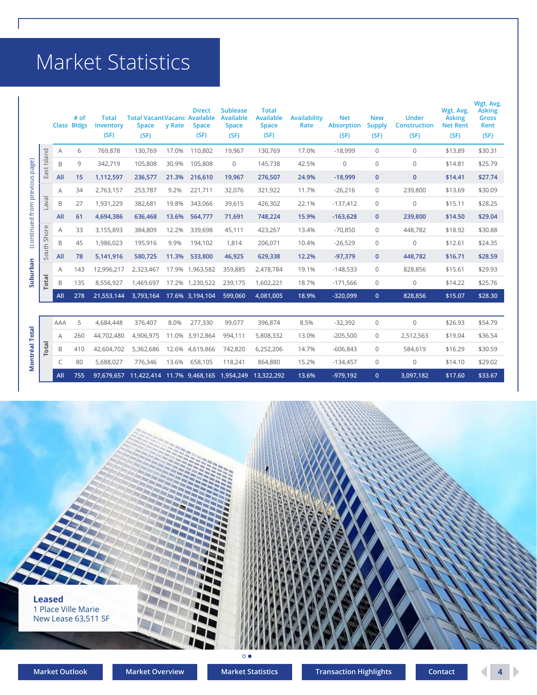## Market Statistics

|                          |             |     | # of<br><b>Class Bldgs</b> | <b>Total</b><br>Inventory<br>(SF) | <b>Total VacantVacanc Available</b><br><b>Space</b><br>(SF) | y Rate | <b>Direct</b><br><b>Space</b><br>(SF) | <b>Sublease</b><br><b>Available</b><br><b>Space</b><br>(SF) | <b>Total</b><br><b>Available</b><br><b>Space</b><br>(SF) | <b>Availability</b><br>Rate | <b>Net</b><br><b>Absorption</b><br>(SF) | <b>New</b><br><b>Supply</b><br>(SF) | <b>Under</b><br><b>Construction</b><br>(SF) | Wgt. Avg.<br><b>Asking</b><br><b>Net Rent</b><br>(SF) | Wgt. Avg.<br><b>Asking</b><br><b>Gross</b><br>Rent<br>(SF) |
|--------------------------|-------------|-----|----------------------------|-----------------------------------|-------------------------------------------------------------|--------|---------------------------------------|-------------------------------------------------------------|----------------------------------------------------------|-----------------------------|-----------------------------------------|-------------------------------------|---------------------------------------------|-------------------------------------------------------|------------------------------------------------------------|
|                          |             | Α   | 6                          | 769,878                           | 130,769                                                     | 17.0%  | 110,802                               | 19,967                                                      | 130,769                                                  | 17.0%                       | $-18,999$                               | $\Omega$                            | $\mathbf{0}$                                | \$13.89                                               | \$30.31                                                    |
| page)                    | East Island | B   | 9                          | 342,719                           | 105,808                                                     | 30.9%  | 105,808                               | $\mathbf 0$                                                 | 145,738                                                  | 42.5%                       | $\Omega$                                | $\Omega$                            | $\mathbf{0}$                                | \$14.81                                               | \$25.79                                                    |
|                          |             | All | 15                         | 1,112,597                         | 236,577                                                     | 21.3%  | 216,610                               | 19,967                                                      | 276,507                                                  | 24.9%                       | $-18,999$                               | $\mathbf{0}$                        | $\mathbf 0$                                 | \$14.41                                               | \$27.74                                                    |
| (continued from previous |             | A   | 34                         | 2,763,157                         | 253,787                                                     | 9.2%   | 221,711                               | 32,076                                                      | 321,922                                                  | 11.7%                       | $-26,216$                               | $\mathbf{0}$                        | 239,800                                     | \$13.69                                               | \$30.09                                                    |
|                          | laval       | B   | 27                         | 1,931,229                         | 382,681                                                     | 19.8%  | 343,066                               | 39,615                                                      | 426,302                                                  | 22.1%                       | $-137,412$                              | $\mathbf{0}$                        | $\mathbf{0}$                                | \$15.11                                               | \$28.25                                                    |
|                          |             | All | 61                         | 4,694,386                         | 636,468                                                     | 13.6%  | 564,777                               | 71,691                                                      | 748,224                                                  | 15.9%                       | $-163,628$                              | $\mathbf{0}$                        | 239,800                                     | \$14.50                                               | \$29.04                                                    |
|                          |             | Α   | 33                         | 3,155,893                         | 384,809                                                     | 12.2%  | 339,698                               | 45,111                                                      | 423,267                                                  | 13.4%                       | $-70,850$                               | $\mathbf{0}$                        | 448,782                                     | \$18.92                                               | \$30.88                                                    |
|                          | South Shor  | B   | 45                         | 1,986,023                         | 195,916                                                     | 9.9%   | 194,102                               | 1,814                                                       | 206,071                                                  | 10.4%                       | $-26,529$                               | $\mathbf{0}$                        | $\mathbf{0}$                                | \$12.61                                               | \$24.35                                                    |
|                          |             | All | 78                         | 5,141,916                         | 580,725                                                     | 11.3%  | 533,800                               | 46,925                                                      | 629,338                                                  | 12.2%                       | $-97,379$                               | $\mathbf{0}$                        | 448,782                                     | \$16.71                                               | \$28.59                                                    |
| Suburban                 |             | A   | 143                        | 12,996,217                        | 2,323,467                                                   | 17.9%  | 1,963,582                             | 359,885                                                     | 2,478,784                                                | 19.1%                       | $-148,533$                              | $\mathbf{0}$                        | 828,856                                     | \$15.61                                               | \$29.93                                                    |
|                          | Total       | B   | 135                        | 8,556,927                         | 1,469,697                                                   |        | 17.2% 1,230,522                       | 239,175                                                     | 1,602,221                                                | 18.7%                       | $-171,566$                              | $\mathbf{0}$                        | $\mathsf{O}\xspace$                         | \$14.22                                               | \$25.76                                                    |
|                          |             | All | 278                        | 21,553,144                        | 3,793,164                                                   |        | 17.6% 3,194,104                       | 599,060                                                     | 4,081,005                                                | 18.9%                       | $-320,099$                              | $\mathbf{0}$                        | 828,856                                     | \$15.07                                               | \$28.30                                                    |
|                          |             |     |                            |                                   |                                                             |        |                                       |                                                             |                                                          |                             |                                         |                                     |                                             |                                                       |                                                            |
|                          |             | AAA | 5                          | 4,684,448                         | 376.407                                                     | 8.0%   | 277,330                               | 99,077                                                      | 396,874                                                  | 8.5%                        | $-32,392$                               | $\mathbf{0}$                        | $\mathbf{0}$                                | \$26.93                                               | \$54.79                                                    |
|                          |             | A   | 260                        | 44,702,480                        | 4,906,975                                                   |        | 11.0% 3,912,864                       | 994,111                                                     | 5,808,332                                                | 13.0%                       | $-205,500$                              | $\mathbf{0}$                        | 2,512,563                                   | \$19.04                                               | \$36.54                                                    |
|                          | Tota        | B   | 410                        | 42,604,702                        | 5,362,686                                                   |        | 12.6% 4,619,866                       | 742,820                                                     | 6,252,206                                                | 14.7%                       | $-606,843$                              | $\mathbf{0}$                        | 584,619                                     | \$16.29                                               | \$30.59                                                    |
| <b>Montréal Total</b>    |             | C   | 80                         | 5,688,027                         | 776,346                                                     | 13.6%  | 658,105                               | 118,241                                                     | 864,880                                                  | 15.2%                       | $-134,457$                              | $\mathbf{0}$                        | $\mathbf{0}$                                | \$14.10                                               | \$29.02                                                    |
|                          |             | All | 755                        | 97,679,657                        | 11,422,414 11.7% 9,468,165                                  |        |                                       | 1,954,249                                                   | 13,322,292                                               | 13.6%                       | $-979,192$                              | $\mathbf{0}$                        | 3,097,182                                   | \$17.60                                               | \$33.67                                                    |

**Leased** 1 Place Ville Marie New Lease 63,511 SF $\circ \bullet$ 

D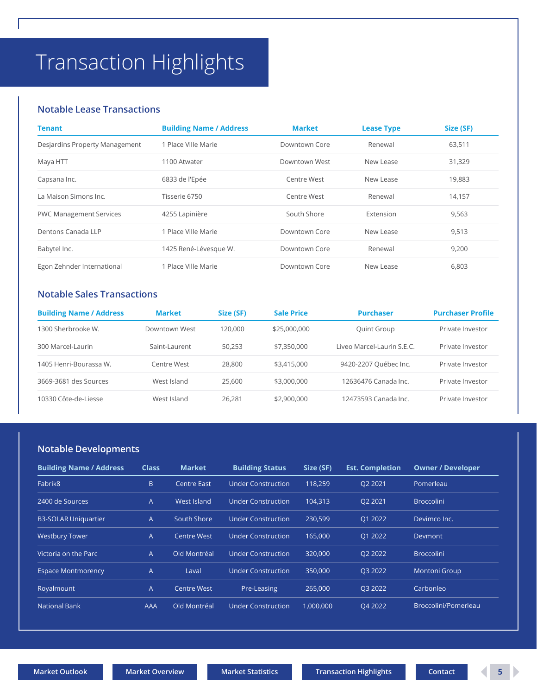## <span id="page-4-0"></span>Transaction Highlights

### **Notable Lease Transactions**

| Tenant                         | <b>Building Name / Address</b> | <b>Market</b> | <b>Lease Type</b> | Size (SF) |
|--------------------------------|--------------------------------|---------------|-------------------|-----------|
| Desjardins Property Management | 1 Place Ville Marie            | Downtown Core | Renewal           | 63,511    |
| Maya HTT                       | 1100 Atwater                   | Downtown West | New Lease         | 31,329    |
| Capsana Inc.                   | 6833 de l'Epée                 | Centre West   | New Lease         | 19,883    |
| La Maison Simons Inc.          | Tisserie 6750                  | Centre West   | Renewal           | 14,157    |
| <b>PWC Management Services</b> | 4255 Lapinière                 | South Shore   | Extension         | 9,563     |
| Dentons Canada LLP             | 1 Place Ville Marie            | Downtown Core | New Lease         | 9,513     |
| Babytel Inc.                   | 1425 René-Lévesque W.          | Downtown Core | Renewal           | 9,200     |
| Egon Zehnder International     | 1 Place Ville Marie            | Downtown Core | New Lease         | 6,803     |

### **Notable Sales Transactions**

| <b>Building Name / Address</b> | <b>Market</b> | Size (SF) | <b>Sale Price</b> | <b>Purchaser</b>           | <b>Purchaser Profile</b> |
|--------------------------------|---------------|-----------|-------------------|----------------------------|--------------------------|
| 1300 Sherbrooke W.             | Downtown West | 120,000   | \$25,000,000      | Quint Group                | Private Investor         |
| 300 Marcel-Laurin              | Saint-Laurent | 50.253    | \$7,350,000       | Liveo Marcel-Laurin S.E.C. | Private Investor         |
| 1405 Henri-Bourassa W.         | Centre West   | 28,800    | \$3,415,000       | 9420-2207 Québec Inc.      | Private Investor         |
| 3669-3681 des Sources          | West Island   | 25,600    | \$3,000,000       | 12636476 Canada Inc.       | Private Investor         |
| 10330 Côte-de-Liesse           | West Island   | 26.281    | \$2,900,000       | 12473593 Canada Inc.       | Private Investor         |

### **Notable Developments**

| <b>Building Name / Address</b> | <b>Class</b> | <b>Market</b>      | <b>Building Status</b>    | Size (SF) | <b>Est. Completion</b> | <b>Owner / Developer</b> |
|--------------------------------|--------------|--------------------|---------------------------|-----------|------------------------|--------------------------|
| Fabrik <sub>8</sub>            | B.           | Centre East        | <b>Under Construction</b> | 118,259   | Q2 2021                | Pomerleau                |
| 2400 de Sources                | A            | West Island        | <b>Under Construction</b> | 104.313   | O2 2021                | <b>Broccolini</b>        |
| <b>B3-SOLAR Uniquartier</b>    | A            | South Shore        | Under Construction        | 230,599   | 01 2022                | Devimco Inc.             |
| <b>Westbury Tower</b>          | A            | <b>Centre West</b> | <b>Under Construction</b> | 165,000   | Q1 2022                | Devmont                  |
| Victoria on the Parc           | A            | Old Montréal       | Under Construction        | 320,000   | O <sub>2</sub> 2022    | <b>Broccolini</b>        |
| <b>Espace Montmorency</b>      | A            | Laval              | <b>Under Construction</b> | 350,000   | Q3 2022                | <b>Montoni Group</b>     |
| Royalmount                     | A            | <b>Centre West</b> | Pre-Leasing               | 265,000   | Q3 2022                | Carbonleo                |
| <b>National Bank</b>           | AAA          | Old Montréal       | <b>Under Construction</b> | 1,000,000 | O4 2022                | Broccolini/Pomerleau     |